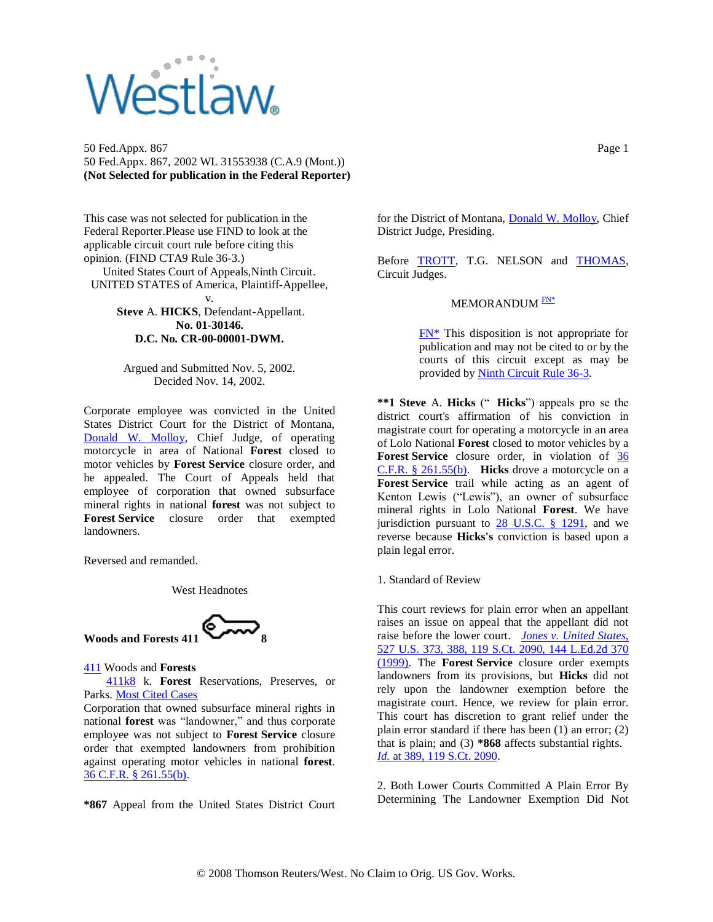## **Vestlaw**

50 Fed.Appx. 867 Page 1 50 Fed.Appx. 867, 2002 WL 31553938 (C.A.9 (Mont.)) **(Not Selected for publication in the Federal Reporter)**

This case was not selected for publication in the Federal Reporter.Please use FIND to look at the applicable circuit court rule before citing this opinion. (FIND CTA9 Rule 36-3.)

United States Court of Appeals,Ninth Circuit. UNITED STATES of America, Plaintiff-Appellee, v.

> **Steve** A. **HICKS**, Defendant-Appellant. **No. 01-30146. D.C. No. CR-00-00001-DWM.**

Argued and Submitted Nov. 5, 2002. Decided Nov. 14, 2002.

Corporate employee was convicted in the United States District Court for the District of Montana, [Donald W. Molloy,](http://www.westlaw.com/Find/Default.wl?rs=dfa1.0&vr=2.0&DB=PROFILER-WLD&DocName=0145626601&FindType=h) Chief Judge, of operating motorcycle in area of National **Forest** closed to motor vehicles by **Forest Service** closure order, and he appealed. The Court of Appeals held that employee of corporation that owned subsurface mineral rights in national **forest** was not subject to **Forest Service** closure order that exempted landowners.

Reversed and remanded.

West Headnotes



[411](http://www.westlaw.com/KeyNumber/Default.wl?rs=dfa1.0&vr=2.0&CMD=KEY&DocName=411) Woods and **Forests**

 [411k8](http://www.westlaw.com/KeyNumber/Default.wl?rs=dfa1.0&vr=2.0&CMD=KEY&DocName=411k8) k. **Forest** Reservations, Preserves, or Parks. [Most Cited Cases](http://www.westlaw.com/Digest/Default.wl?rs=dfa1.0&vr=2.0&CMD=MCC&DocName=411k8)

Corporation that owned subsurface mineral rights in national **forest** was "landowner," and thus corporate employee was not subject to **Forest Service** closure order that exempted landowners from prohibition against operating motor vehicles in national **forest**. [36 C.F.R. § 261.55\(b\).](http://www.westlaw.com/Find/Default.wl?rs=dfa1.0&vr=2.0&DB=1000547&DocName=36CFRS261.55&FindType=L)

**\*867** Appeal from the United States District Court

for the District of Montana, [Donald W. Molloy,](http://www.westlaw.com/Find/Default.wl?rs=dfa1.0&vr=2.0&DB=PROFILER-WLD&DocName=0145626601&FindType=h) Chief District Judge, Presiding.

Before [TROTT,](http://www.westlaw.com/Find/Default.wl?rs=dfa1.0&vr=2.0&DB=PROFILER-WLD&DocName=0255710201&FindType=h) T.G. NELSON and [THOMAS,](http://www.westlaw.com/Find/Default.wl?rs=dfa1.0&vr=2.0&DB=PROFILER-WLD&DocName=0221879201&FindType=h) Circuit Judges.

## <span id="page-0-1"></span>MEMORANDUM<sup>EN\*</sup>

<span id="page-0-0"></span>[FN\\*](#page-0-1) This disposition is not appropriate for publication and may not be cited to or by the courts of this circuit except as may be provided b[y Ninth Circuit Rule 36-3.](http://www.westlaw.com/Find/Default.wl?rs=dfa1.0&vr=2.0&DB=1004365&DocName=CTA9R36-3&FindType=L)

**\*\*1 Steve** A. **Hicks** (" **Hicks**") appeals pro se the district court's affirmation of his conviction in magistrate court for operating a motorcycle in an area of Lolo National **Forest** closed to motor vehicles by a **Forest Service** closure order, in violation of [36](http://www.westlaw.com/Find/Default.wl?rs=dfa1.0&vr=2.0&DB=1000547&DocName=36CFRS261.55&FindType=L)  [C.F.R. § 261.55\(b\).](http://www.westlaw.com/Find/Default.wl?rs=dfa1.0&vr=2.0&DB=1000547&DocName=36CFRS261.55&FindType=L) **Hicks** drove a motorcycle on a **Forest Service** trail while acting as an agent of Kenton Lewis ("Lewis"), an owner of subsurface mineral rights in Lolo National **Forest**. We have jurisdiction pursuant to  $28$  U.S.C. § 1291, and we reverse because **Hicks's** conviction is based upon a plain legal error.

1. Standard of Review

This court reviews for plain error when an appellant raises an issue on appeal that the appellant did not raise before the lower court. *[Jones v. United States,](http://www.westlaw.com/Find/Default.wl?rs=dfa1.0&vr=2.0&DB=708&FindType=Y&SerialNum=1999145061)* 527 U.S. 373, 388, 119 S.Ct. 2090, 144 L.Ed.2d 370 (1999). The **Forest Service** closure order exempts landowners from its provisions, but **Hicks** did not rely upon the landowner exemption before the magistrate court. Hence, we review for plain error. This court has discretion to grant relief under the plain error standard if there has been (1) an error; (2) that is plain; and (3) **\*868** affects substantial rights. *[Id.](http://www.westlaw.com/Find/Default.wl?rs=dfa1.0&vr=2.0&DB=708&FindType=Y&SerialNum=1999145061)* [at 389, 119 S.Ct. 2090.](http://www.westlaw.com/Find/Default.wl?rs=dfa1.0&vr=2.0&DB=708&FindType=Y&SerialNum=1999145061)

2. Both Lower Courts Committed A Plain Error By Determining The Landowner Exemption Did Not